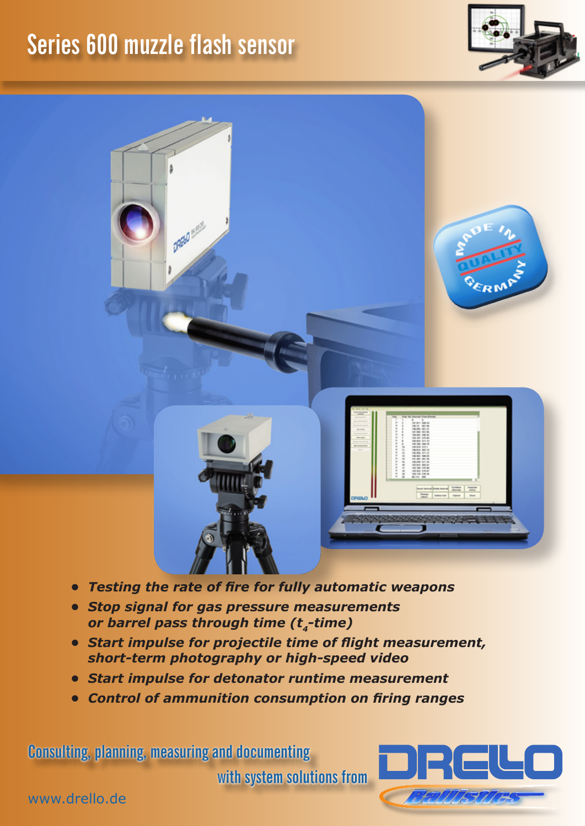## **Series 600 muzzle flash sensor**

**DREW MANY** 



ERM



- *• Testing the rate of fire for fully automatic weapons*
- *• Stop signal for gas pressure measurements or barrel pass through time (t4-time)*
- *• Start impulse for projectile time of flight measurement, short-term photography or high-speed video*
- *• Start impulse for detonator runtime measurement*
- *• Control of ammunition consumption on firing ranges*

**Consulting, planning, measuring and documenting** 

**with system solutions from**



www.drello.de